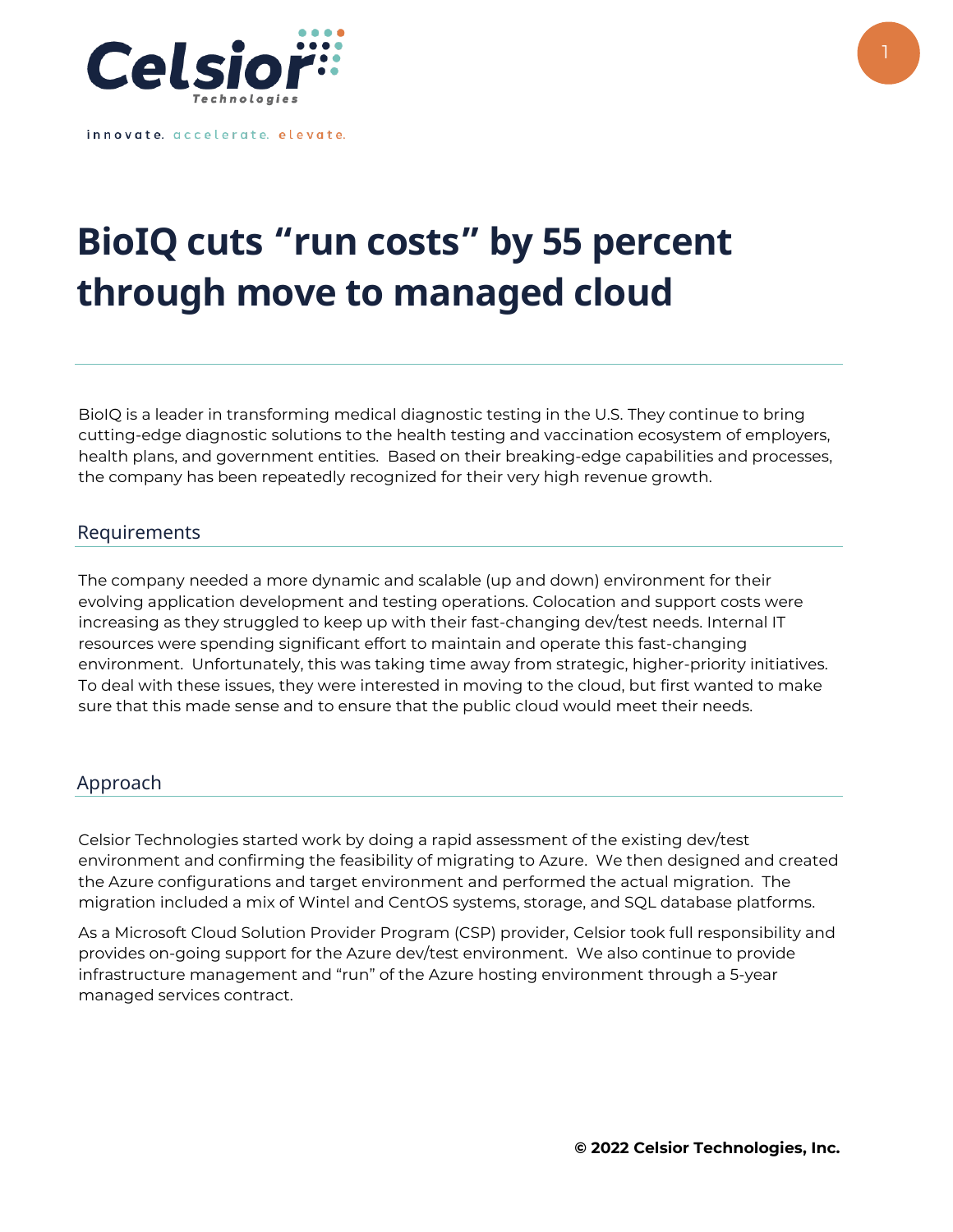

innovate. accelerate. elevate.

## **BioIQ cuts "run costs" by 55 percent through move to managed cloud**

BioIQ is a leader in transforming medical diagnostic testing in the U.S. They continue to bring cutting-edge diagnostic solutions to the health testing and vaccination ecosystem of employers, health plans, and government entities. Based on their breaking-edge capabilities and processes, the company has been repeatedly recognized for their very high revenue growth.

## Requirements

The company needed a more dynamic and scalable (up and down) environment for their evolving application development and testing operations. Colocation and support costs were increasing as they struggled to keep up with their fast-changing dev/test needs. Internal IT resources were spending significant effort to maintain and operate this fast-changing environment. Unfortunately, this was taking time away from strategic, higher-priority initiatives. To deal with these issues, they were interested in moving to the cloud, but first wanted to make sure that this made sense and to ensure that the public cloud would meet their needs.

## Approach

Celsior Technologies started work by doing a rapid assessment of the existing dev/test environment and confirming the feasibility of migrating to Azure. We then designed and created the Azure configurations and target environment and performed the actual migration. The migration included a mix of Wintel and CentOS systems, storage, and SQL database platforms.

As a Microsoft Cloud Solution Provider Program (CSP) provider, Celsior took full responsibility and provides on-going support for the Azure dev/test environment. We also continue to provide infrastructure management and "run" of the Azure hosting environment through a 5-year managed services contract.